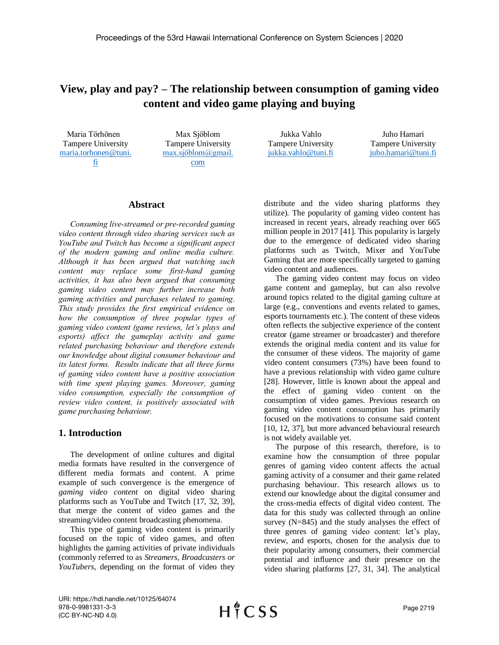# **View, play and pay? – The relationship between consumption of gaming video content and video game playing and buying**

 Maria Törhönen Tampere University [maria.torhonen@tuni.](mailto:maria.torhonen@tuni.fi) [fi](mailto:maria.torhonen@tuni.fi) 

Max Sjöblom Tampere University [max.sjöblom@gmail.](mailto:max.sjöblom@gmail.com) [com](mailto:max.sjöblom@gmail.com)

Jukka Vahlo Tampere University [jukka.vahlo@tuni.fi](mailto:jukka.vahlo@tuni.fi)

Juho Hamari Tampere University [juho.hamari@tuni.fi](mailto:juho.hamari@tuni.fi) 

## **Abstract**

*Consuming live-streamed or pre-recorded gaming video content through video sharing services such as YouTube and Twitch has become a significant aspect of the modern gaming and online media culture. Although it has been argued that watching such content may replace some first-hand gaming activities, it has also been argued that consuming gaming video content may further increase both gaming activities and purchases related to gaming. This study provides the first empirical evidence on how the consumption of three popular types of gaming video content (game reviews, let's plays and esports) affect the gameplay activity and game related purchasing behaviour and therefore extends our knowledge about digital consumer behaviour and its latest forms. Results indicate that all three forms of gaming video content have a positive association with time spent playing games. Moreover, gaming video consumption, especially the consumption of review video content, is positively associated with game purchasing behaviour.*

## **1. Introduction**

The development of online cultures and digital media formats have resulted in the convergence of different media formats and content. A prime example of such convergence is the emergence of *gaming video content* on digital video sharing platforms such as YouTube and Twitch [17, 32, 39], that merge the content of video games and the streaming/video content broadcasting phenomena.

This type of gaming video content is primarily focused on the topic of video games, and often highlights the gaming activities of private individuals (commonly referred to as *Streamers, Broadcasters or YouTubers*, depending on the format of video they

distribute and the video sharing platforms they utilize). The popularity of gaming video content has increased in recent years, already reaching over 665 million people in 2017 [41]. This popularity is largely due to the emergence of dedicated video sharing platforms such as Twitch, Mixer and YouTube Gaming that are more specifically targeted to gaming video content and audiences.

The gaming video content may focus on video game content and gameplay, but can also revolve around topics related to the digital gaming culture at large (e.g., conventions and events related to games, esports tournaments etc.). The content of these videos often reflects the subjective experience of the content creator (game streamer or broadcaster) and therefore extends the original media content and its value for the consumer of these videos. The majority of game video content consumers (73%) have been found to have a previous relationship with video game culture [28]. However, little is known about the appeal and the effect of gaming video content on the consumption of video games. Previous research on gaming video content consumption has primarily focused on the motivations to consume said content [10, 12, 37], but more advanced behavioural research is not widely available yet.

The purpose of this research, therefore, is to examine how the consumption of three popular genres of gaming video content affects the actual gaming activity of a consumer and their game related purchasing behaviour. This research allows us to extend our knowledge about the digital consumer and the cross-media effects of digital video content. The data for this study was collected through an online survey (N=845) and the study analyses the effect of three genres of gaming video content: let's play, review, and esports, chosen for the analysis due to their popularity among consumers, their commercial potential and influence and their presence on the video sharing platforms [27, 31, 34]. The analytical

URI: https://hdl.handle.net/10125/64074 978-0-9981331-3-3 (CC BY-NC-ND 4.0)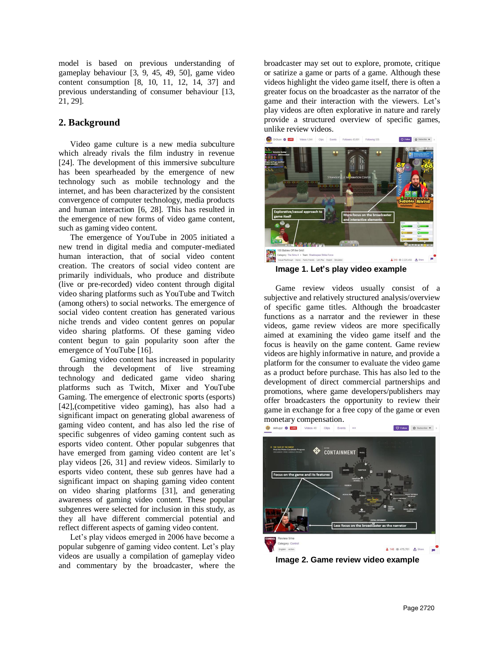model is based on previous understanding of gameplay behaviour [3, 9, 45, 49, 50], game video content consumption [8, 10, 11, 12, 14, 37] and previous understanding of consumer behaviour [13, 21, 29].

## **2. Background**

Video game culture is a new media subculture which already rivals the film industry in revenue [24]. The development of this immersive subculture has been spearheaded by the emergence of new technology such as mobile technology and the internet, and has been characterized by the consistent convergence of computer technology, media products and human interaction [6, 28]. This has resulted in the emergence of new forms of video game content, such as gaming video content.

The emergence of YouTube in 2005 initiated a new trend in digital media and computer-mediated human interaction, that of social video content creation. The creators of social video content are primarily individuals, who produce and distribute (live or pre-recorded) video content through digital video sharing platforms such as YouTube and Twitch (among others) to social networks. The emergence of social video content creation has generated various niche trends and video content genres on popular video sharing platforms. Of these gaming video content begun to gain popularity soon after the emergence of YouTube [16].

Gaming video content has increased in popularity through the development of live streaming technology and dedicated game video sharing platforms such as Twitch, Mixer and YouTube Gaming. The emergence of electronic sports (esports) [42],(competitive video gaming), has also had a significant impact on generating global awareness of gaming video content, and has also led the rise of specific subgenres of video gaming content such as esports video content. Other popular subgenres that have emerged from gaming video content are let's play videos [26, 31] and review videos. Similarly to esports video content, these sub genres have had a significant impact on shaping gaming video content on video sharing platforms [31], and generating awareness of gaming video content. These popular subgenres were selected for inclusion in this study, as they all have different commercial potential and reflect different aspects of gaming video content.

Let's play videos emerged in 2006 have become a popular subgenre of gaming video content. Let's play videos are usually a compilation of gameplay video and commentary by the broadcaster, where the

broadcaster may set out to explore, promote, critique or satirize a game or parts of a game. Although these videos highlight the video game itself, there is often a greater focus on the broadcaster as the narrator of the game and their interaction with the viewers. Let's play videos are often explorative in nature and rarely provide a structured overview of specific games, unlike review videos.



**Image 1. Let's play video example**

Game review videos usually consist of a subjective and relatively structured analysis/overview of specific game titles. Although the broadcaster functions as a narrator and the reviewer in these videos, game review videos are more specifically aimed at examining the video game itself and the focus is heavily on the game content. Game review videos are highly informative in nature, and provide a platform for the consumer to evaluate the video game as a product before purchase. This has also led to the development of direct commercial partnerships and promotions, where game developers/publishers may offer broadcasters the opportunity to review their game in exchange for a free copy of the game or even monetary compensation.



**Image 2. Game review video example**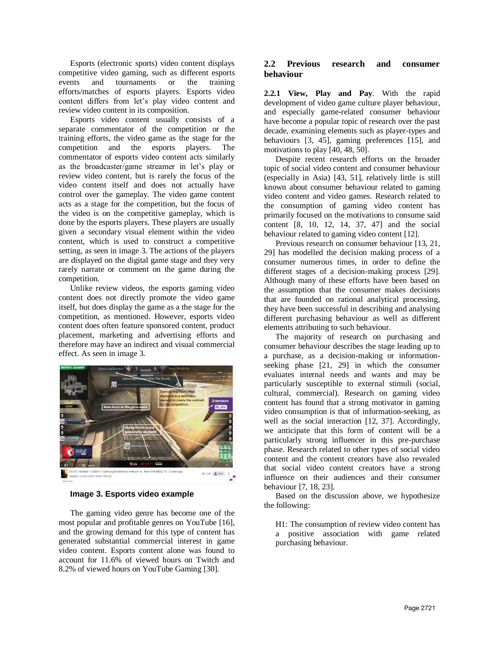Esports (electronic sports) video content displays competitive video gaming, such as different esports events and tournaments or the training efforts/matches of esports players. Esports video content differs from let's play video content and review video content in its composition.

Esports video content usually consists of a separate commentator of the competition or the training efforts, the video game as the stage for the competition and the esports players. The commentator of esports video content acts similarly as the broadcaster/game streamer in let's play or review video content, but is rarely the focus of the video content itself and does not actually have control over the gameplay. The video game content acts as a stage for the competition, but the focus of the video is on the competitive gameplay, which is done by the esports players. These players are usually given a secondary visual element within the video content, which is used to construct a competitive setting, as seen in image 3. The actions of the players are displayed on the digital game stage and they very rarely narrate or comment on the game during the competition.

Unlike review videos, the esports gaming video content does not directly promote the video game itself, but does display the game as a the stage for the competition, as mentioned. However, esports video content does often feature sponsored content, product placement, marketing and advertising efforts and therefore may have an indirect and visual commercial effect. As seen in image 3.



#### **Image 3. Esports video example**

The gaming video genre has become one of the most popular and profitable genres on YouTube [16], and the growing demand for this type of content has generated substantial commercial interest in game video content. Esports content alone was found to account for 11.6% of viewed hours on Twitch and 8.2% of viewed hours on YouTube Gaming [30].

#### **2.2 Previous research and consumer behaviour**

**2.2.1 View, Play and Pay**. With the rapid development of video game culture player behaviour, and especially game-related consumer behaviour have become a popular topic of research over the past decade, examining elements such as player-types and behaviours [3, 45], gaming preferences [15], and motivations to play [40, 48, 50].

Despite recent research efforts on the broader topic of social video content and consumer behaviour (especially in Asia) [43, 51], relatively little is still known about consumer behaviour related to gaming video content and video games. Research related to the consumption of gaming video content has primarily focused on the motivations to consume said content [8, 10, 12, 14, 37, 47] and the social behaviour related to gaming video content [12].

Previous research on consumer behaviour [13, 21, 29] has modelled the decision making process of a consumer numerous times, in order to define the different stages of a decision-making process [29]. Although many of these efforts have been based on the assumption that the consumer makes decisions that are founded on rational analytical processing, they have been successful in describing and analysing different purchasing behaviour as well as different elements attributing to such behaviour.

The majority of research on purchasing and consumer behaviour describes the stage leading up to a purchase, as a decision-making or informationseeking phase [21, 29] in which the consumer evaluates internal needs and wants and may be particularly susceptible to external stimuli (social, cultural, commercial). Research on gaming video content has found that a strong motivator in gaming video consumption is that of information-seeking, as well as the social interaction [12, 37]. Accordingly, we anticipate that this form of content will be a particularly strong influencer in this pre-purchase phase. Research related to other types of social video content and the content creators have also revealed that social video content creators have a strong influence on their audiences and their consumer behaviour [7, 18, 23].

Based on the discussion above, we hypothesize the following:

H1: The consumption of review video content has a positive association with game related purchasing behaviour.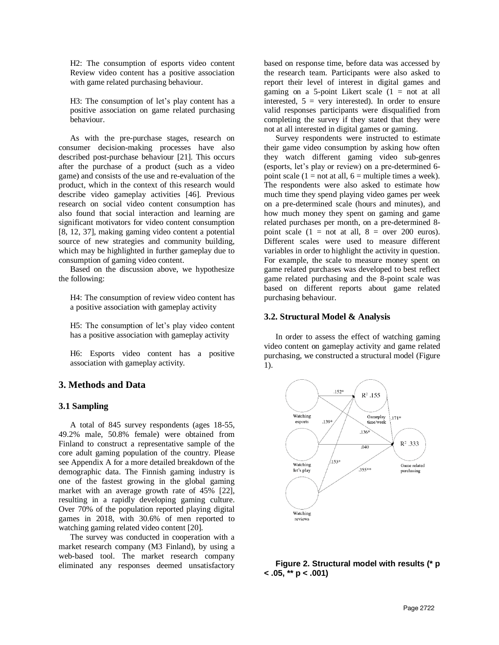H2: The consumption of esports video content Review video content has a positive association with game related purchasing behaviour.

H3: The consumption of let's play content has a positive association on game related purchasing behaviour.

As with the pre-purchase stages, research on consumer decision-making processes have also described post-purchase behaviour [21]. This occurs after the purchase of a product (such as a video game) and consists of the use and re-evaluation of the product, which in the context of this research would describe video gameplay activities [46]. Previous research on social video content consumption has also found that social interaction and learning are significant motivators for video content consumption [8, 12, 37], making gaming video content a potential source of new strategies and community building, which may be highlighted in further gameplay due to consumption of gaming video content.

Based on the discussion above, we hypothesize the following:

H4: The consumption of review video content has a positive association with gameplay activity

H5: The consumption of let's play video content has a positive association with gameplay activity

H6: Esports video content has a positive association with gameplay activity.

## **3. Methods and Data**

#### **3.1 Sampling**

A total of 845 survey respondents (ages 18-55, 49.2% male, 50.8% female) were obtained from Finland to construct a representative sample of the core adult gaming population of the country. Please see Appendix A for a more detailed breakdown of the demographic data. The Finnish gaming industry is one of the fastest growing in the global gaming market with an average growth rate of 45% [22], resulting in a rapidly developing gaming culture. Over 70% of the population reported playing digital games in 2018, with 30.6% of men reported to watching gaming related video content [20].

The survey was conducted in cooperation with a market research company (M3 Finland), by using a web-based tool. The market research company eliminated any responses deemed unsatisfactory based on response time, before data was accessed by the research team. Participants were also asked to report their level of interest in digital games and gaming on a 5-point Likert scale  $(1 = not at all$ interested,  $5 = \text{very interested}$ . In order to ensure valid responses participants were disqualified from completing the survey if they stated that they were not at all interested in digital games or gaming.

Survey respondents were instructed to estimate their game video consumption by asking how often they watch different gaming video sub-genres (esports, let's play or review) on a pre-determined 6 point scale (1 = not at all,  $6$  = multiple times a week). The respondents were also asked to estimate how much time they spend playing video games per week on a pre-determined scale (hours and minutes), and how much money they spent on gaming and game related purchases per month, on a pre-determined 8 point scale  $(1 = not at all, 8 = over 200 euros)$ . Different scales were used to measure different variables in order to highlight the activity in question. For example, the scale to measure money spent on game related purchases was developed to best reflect game related purchasing and the 8-point scale was based on different reports about game related purchasing behaviour.

#### **3.2. Structural Model & Analysis**

In order to assess the effect of watching gaming video content on gameplay activity and game related purchasing, we constructed a structural model (Figure 1).



#### **Figure 2. Structural model with results (\* p < .05, \*\* p < .001)**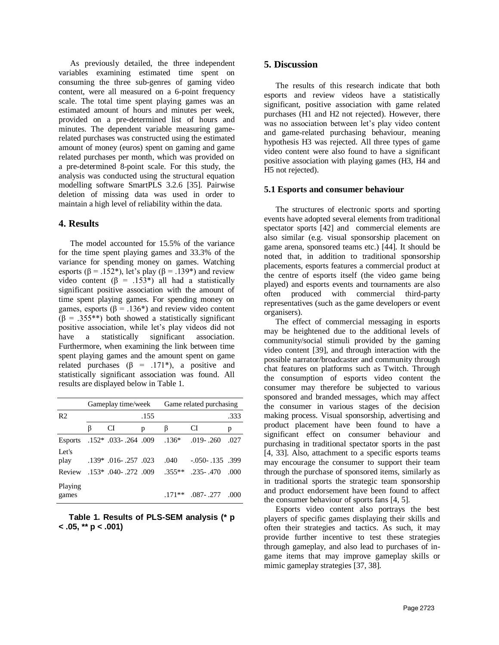As previously detailed, the three independent variables examining estimated time spent on consuming the three sub-genres of gaming video content, were all measured on a 6-point frequency scale. The total time spent playing games was an estimated amount of hours and minutes per week, provided on a pre-determined list of hours and minutes. The dependent variable measuring gamerelated purchases was constructed using the estimated amount of money (euros) spent on gaming and game related purchases per month, which was provided on a pre-determined 8-point scale. For this study, the analysis was conducted using the structural equation modelling software SmartPLS 3.2.6 [35]. Pairwise deletion of missing data was used in order to maintain a high level of reliability within the data.

## **4. Results**

The model accounted for 15.5% of the variance for the time spent playing games and 33.3% of the variance for spending money on games. Watching esports ( $\beta$  = .152\*), let's play ( $\beta$  = .139\*) and review video content (β = .153\*) all had a statistically significant positive association with the amount of time spent playing games. For spending money on games, esports ( $\beta$  = .136<sup>\*</sup>) and review video content  $(\beta = .355^{**})$  both showed a statistically significant positive association, while let's play videos did not have a statistically significant association. Furthermore, when examining the link between time spent playing games and the amount spent on game related purchases ( $\beta$  = .171\*), a positive and statistically significant association was found. All results are displayed below in Table 1.

|                  | Gameplay time/week |                             |   | Game related purchasing |                   |      |
|------------------|--------------------|-----------------------------|---|-------------------------|-------------------|------|
| R <sub>2</sub>   | .155               |                             |   |                         |                   | .333 |
|                  | B                  | CI                          | p | ß                       | CI                | p    |
| <b>Esports</b>   |                    | $.152*$ $.033-.264$ $.009$  |   | $.136*$                 | $.019 - .260$     | .027 |
| Let's<br>play    |                    | $.139*$ $.016-0.257$ $.023$ |   | .040                    | $-.050-.135-.399$ |      |
| Review           |                    | $.153*$ $.040-0.272$ $.009$ |   | $.355**$                | $-235 - 470$      | .000 |
| Playing<br>games |                    |                             |   | $171**$                 | .087-.277         | .000 |

#### **Table 1. Results of PLS-SEM analysis (\* p < .05, \*\* p < .001)**

## **5. Discussion**

The results of this research indicate that both esports and review videos have a statistically significant, positive association with game related purchases (H1 and H2 not rejected). However, there was no association between let's play video content and game-related purchasing behaviour, meaning hypothesis H3 was rejected. All three types of game video content were also found to have a significant positive association with playing games (H3, H4 and H5 not rejected).

#### **5.1 Esports and consumer behaviour**

The structures of electronic sports and sporting events have adopted several elements from traditional spectator sports [42] and commercial elements are also similar (e.g. visual sponsorship placement on game arena, sponsored teams etc.) [44]. It should be noted that, in addition to traditional sponsorship placements, esports features a commercial product at the centre of esports itself (the video game being played) and esports events and tournaments are also often produced with commercial third-party representatives (such as the game developers or event organisers).

The effect of commercial messaging in esports may be heightened due to the additional levels of community/social stimuli provided by the gaming video content [39], and through interaction with the possible narrator/broadcaster and community through chat features on platforms such as Twitch. Through the consumption of esports video content the consumer may therefore be subjected to various sponsored and branded messages, which may affect the consumer in various stages of the decision making process. Visual sponsorship, advertising and product placement have been found to have a significant effect on consumer behaviour and purchasing in traditional spectator sports in the past [4, 33]. Also, attachment to a specific esports teams may encourage the consumer to support their team through the purchase of sponsored items, similarly as in traditional sports the strategic team sponsorship and product endorsement have been found to affect the consumer behaviour of sports fans [4, 5].

Esports video content also portrays the best players of specific games displaying their skills and often their strategies and tactics. As such, it may provide further incentive to test these strategies through gameplay, and also lead to purchases of ingame items that may improve gameplay skills or mimic gameplay strategies [37, 38].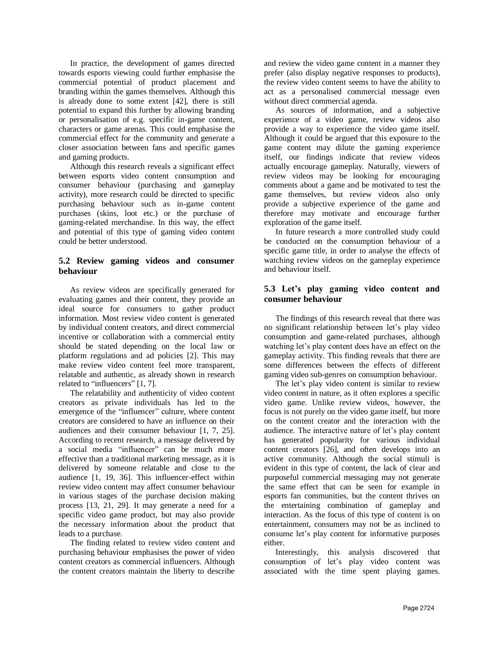In practice, the development of games directed towards esports viewing could further emphasise the commercial potential of product placement and branding within the games themselves. Although this is already done to some extent [42], there is still potential to expand this further by allowing branding or personalisation of e.g. specific in-game content, characters or game arenas. This could emphasise the commercial effect for the community and generate a closer association between fans and specific games and gaming products.

Although this research reveals a significant effect between esports video content consumption and consumer behaviour (purchasing and gameplay activity), more research could be directed to specific purchasing behaviour such as in-game content purchases (skins, loot etc.) or the purchase of gaming-related merchandise. In this way, the effect and potential of this type of gaming video content could be better understood.

## **5.2 Review gaming videos and consumer behaviour**

As review videos are specifically generated for evaluating games and their content, they provide an ideal source for consumers to gather product information. Most review video content is generated by individual content creators, and direct commercial incentive or collaboration with a commercial entity should be stated depending on the local law or platform regulations and ad policies [2]. This may make review video content feel more transparent, relatable and authentic, as already shown in research related to "influencers" [1, 7].

The relatability and authenticity of video content creators as private individuals has led to the emergence of the "influencer" culture, where content creators are considered to have an influence on their audiences and their consumer behaviour [1, 7, 25]. According to recent research, a message delivered by a social media "influencer" can be much more effective than a traditional marketing message, as it is delivered by someone relatable and close to the audience [1, 19, 36]. This influencer-effect within review video content may affect consumer behaviour in various stages of the purchase decision making process [13, 21, 29]. It may generate a need for a specific video game product, but may also provide the necessary information about the product that leads to a purchase.

The finding related to review video content and purchasing behaviour emphasises the power of video content creators as commercial influencers. Although the content creators maintain the liberty to describe

and review the video game content in a manner they prefer (also display negative responses to products), the review video content seems to have the ability to act as a personalised commercial message even without direct commercial agenda.

As sources of information, and a subjective experience of a video game, review videos also provide a way to experience the video game itself. Although it could be argued that this exposure to the game content may dilute the gaming experience itself, our findings indicate that review videos actually encourage gameplay. Naturally, viewers of review videos may be looking for encouraging comments about a game and be motivated to test the game themselves, but review videos also only provide a subjective experience of the game and therefore may motivate and encourage further exploration of the game itself.

In future research a more controlled study could be conducted on the consumption behaviour of a specific game title, in order to analyse the effects of watching review videos on the gameplay experience and behaviour itself.

## **5.3 Let's play gaming video content and consumer behaviour**

The findings of this research reveal that there was no significant relationship between let's play video consumption and game-related purchases, although watching let's play content does have an effect on the gameplay activity. This finding reveals that there are some differences between the effects of different gaming video sub-genres on consumption behaviour.

The let's play video content is similar to review video content in nature, as it often explores a specific video game. Unlike review videos, however, the focus is not purely on the video game itself, but more on the content creator and the interaction with the audience. The interactive nature of let's play content has generated popularity for various individual content creators [26], and often develops into an active community. Although the social stimuli is evident in this type of content, the lack of clear and purposeful commercial messaging may not generate the same effect that can be seen for example in esports fan communities, but the content thrives on the entertaining combination of gameplay and interaction. As the focus of this type of content is on entertainment, consumers may not be as inclined to consume let's play content for informative purposes either.

Interestingly, this analysis discovered that consumption of let's play video content was associated with the time spent playing games.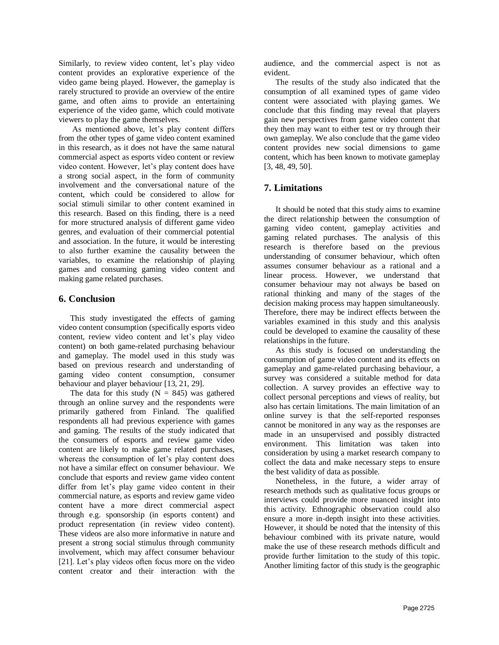Similarly, to review video content, let's play video content provides an explorative experience of the video game being played. However, the gameplay is rarely structured to provide an overview of the entire game, and often aims to provide an entertaining experience of the video game, which could motivate viewers to play the game themselves.

As mentioned above, let's play content differs from the other types of game video content examined in this research, as it does not have the same natural commercial aspect as esports video content or review video content. However, let's play content does have a strong social aspect, in the form of community involvement and the conversational nature of the content, which could be considered to allow for social stimuli similar to other content examined in this research. Based on this finding, there is a need for more structured analysis of different game video genres, and evaluation of their commercial potential and association. In the future, it would be interesting to also further examine the causality between the variables, to examine the relationship of playing games and consuming gaming video content and making game related purchases.

## **6. Conclusion**

This study investigated the effects of gaming video content consumption (specifically esports video content, review video content and let's play video content) on both game-related purchasing behaviour and gameplay. The model used in this study was based on previous research and understanding of gaming video content consumption, consumer behaviour and player behaviour [13, 21, 29].

The data for this study  $(N = 845)$  was gathered through an online survey and the respondents were primarily gathered from Finland. The qualified respondents all had previous experience with games and gaming. The results of the study indicated that the consumers of esports and review game video content are likely to make game related purchases, whereas the consumption of let's play content does not have a similar effect on consumer behaviour. We conclude that esports and review game video content differ from let's play game video content in their commercial nature, as esports and review game video content have a more direct commercial aspect through e.g. sponsorship (in esports content) and product representation (in review video content). These videos are also more informative in nature and present a strong social stimulus through community involvement, which may affect consumer behaviour [21]. Let's play videos often focus more on the video content creator and their interaction with the audience, and the commercial aspect is not as evident.

The results of the study also indicated that the consumption of all examined types of game video content were associated with playing games. We conclude that this finding may reveal that players gain new perspectives from game video content that they then may want to either test or try through their own gameplay. We also conclude that the game video content provides new social dimensions to game content, which has been known to motivate gameplay [3, 48, 49, 50].

# **7. Limitations**

It should be noted that this study aims to examine the direct relationship between the consumption of gaming video content, gameplay activities and gaming related purchases. The analysis of this research is therefore based on the previous understanding of consumer behaviour, which often assumes consumer behaviour as a rational and a linear process. However, we understand that consumer behaviour may not always be based on rational thinking and many of the stages of the decision making process may happen simultaneously. Therefore, there may be indirect effects between the variables examined in this study and this analysis could be developed to examine the causality of these relationships in the future.

As this study is focused on understanding the consumption of game video content and its effects on gameplay and game-related purchasing behaviour, a survey was considered a suitable method for data collection. A survey provides an effective way to collect personal perceptions and views of reality, but also has certain limitations. The main limitation of an online survey is that the self-reported responses cannot be monitored in any way as the responses are made in an unsupervised and possibly distracted environment. This limitation was taken into consideration by using a market research company to collect the data and make necessary steps to ensure the best validity of data as possible.

Nonetheless, in the future, a wider array of research methods such as qualitative focus groups or interviews could provide more nuanced insight into this activity. Ethnographic observation could also ensure a more in-depth insight into these activities. However, it should be noted that the intensity of this behaviour combined with its private nature, would make the use of these research methods difficult and provide further limitation to the study of this topic. Another limiting factor of this study is the geographic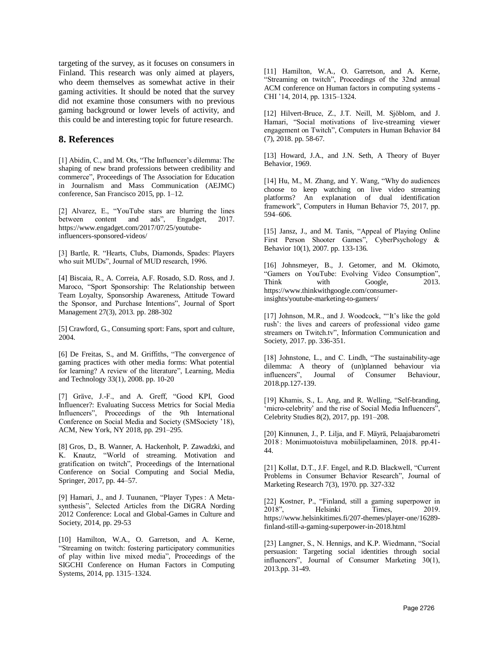targeting of the survey, as it focuses on consumers in Finland. This research was only aimed at players, who deem themselves as somewhat active in their gaming activities. It should be noted that the survey did not examine those consumers with no previous gaming background or lower levels of activity, and this could be and interesting topic for future research.

#### **8. References**

[1] Abidin, C., and M. Ots, "The Influencer's dilemma: The shaping of new brand professions between credibility and commerce", Proceedings of The Association for Education in Journalism and Mass Communication (AEJMC) conference, San Francisco 2015, pp. 1–12.

[2] Alvarez, E., "YouTube stars are blurring the lines between content and ads", Engadget, 2017. https://www.engadget.com/2017/07/25/youtubeinfluencers-sponsored-videos/

[3] Bartle, R. "Hearts, Clubs, Diamonds, Spades: Players who suit MUDs", Journal of MUD research, 1996.

[4] Biscaia, R., A. Correia, A.F. Rosado, S.D. Ross, and J. Maroco, "Sport Sponsorship: The Relationship between Team Loyalty, Sponsorship Awareness, Attitude Toward the Sponsor, and Purchase Intentions", Journal of Sport Management 27(3), 2013. pp. 288-302

[5] Crawford, G., Consuming sport: Fans, sport and culture, 2004.

[6] De Freitas, S., and M. Griffiths, "The convergence of gaming practices with other media forms: What potential for learning? A review of the literature", Learning, Media and Technology 33(1), 2008. pp. 10-20

[7] Gräve, J.-F., and A. Greff, "Good KPI, Good Influencer?: Evaluating Success Metrics for Social Media Influencers", Proceedings of the 9th International Conference on Social Media and Society (SMSociety '18), ACM, New York, NY 2018, pp. 291–295.

[8] Gros, D., B. Wanner, A. Hackenholt, P. Zawadzki, and K. Knautz, "World of streaming. Motivation and gratification on twitch", Proceedings of the International Conference on Social Computing and Social Media, Springer, 2017, pp. 44–57.

[9] Hamari, J., and J. Tuunanen, "Player Types : A Metasynthesis", Selected Articles from the DiGRA Nording 2012 Conference: Local and Global-Games in Culture and Society, 2014, pp. 29-53

[10] Hamilton, W.A., O. Garretson, and A. Kerne, "Streaming on twitch: fostering participatory communities of play within live mixed media", Proceedings of the SIGCHI Conference on Human Factors in Computing Systems, 2014, pp. 1315–1324.

[11] Hamilton, W.A., O. Garretson, and A. Kerne, "Streaming on twitch", Proceedings of the 32nd annual ACM conference on Human factors in computing systems - CHI '14, 2014, pp. 1315–1324.

[12] Hilvert-Bruce, Z., J.T. Neill, M. Sjöblom, and J. Hamari, "Social motivations of live-streaming viewer engagement on Twitch", Computers in Human Behavior 84 (7), 2018. pp. 58-67.

[13] Howard, J.A., and J.N. Seth, A Theory of Buyer Behavior, 1969.

[14] Hu, M., M. Zhang, and Y. Wang, "Why do audiences choose to keep watching on live video streaming platforms? An explanation of dual identification framework", Computers in Human Behavior 75, 2017, pp. 594–606.

[15] Jansz, J., and M. Tanis, "Appeal of Playing Online First Person Shooter Games", CyberPsychology & Behavior 10(1), 2007. pp. 133-136.

[16] Johnsmeyer, B., J. Getomer, and M. Okimoto, "Gamers on YouTube: Evolving Video Consumption", Think with Google, 2013. https://www.thinkwithgoogle.com/consumerinsights/youtube-marketing-to-gamers/

[17] Johnson, M.R., and J. Woodcock, "'It's like the gold rush': the lives and careers of professional video game streamers on Twitch.tv", Information Communication and Society, 2017. pp. 336-351.

[18] Johnstone, L., and C. Lindh, "The sustainability-age dilemma: A theory of (un)planned behaviour via influencers", Journal of Consumer Behaviour, 2018.pp.127-139.

[19] Khamis, S., L. Ang, and R. Welling, "Self-branding, 'micro-celebrity' and the rise of Social Media Influencers", Celebrity Studies 8(2), 2017, pp. 191–208.

[20] Kinnunen, J., P. Lilja, and F. Mäyrä, Pelaajabarometri 2018 : Monimuotoistuva mobiilipelaaminen, 2018. pp.41- 44.

[21] Kollat, D.T., J.F. Engel, and R.D. Blackwell, "Current Problems in Consumer Behavior Research", Journal of Marketing Research 7(3), 1970. pp. 327-332

[22] Kostner, P., "Finland, still a gaming superpower in 2018", Helsinki Times, 2019. https://www.helsinkitimes.fi/207-themes/player-one/16289 finland-still-a-gaming-superpower-in-2018.html

[23] Langner, S., N. Hennigs, and K.P. Wiedmann, "Social persuasion: Targeting social identities through social influencers", Journal of Consumer Marketing 30(1), 2013.pp. 31-49.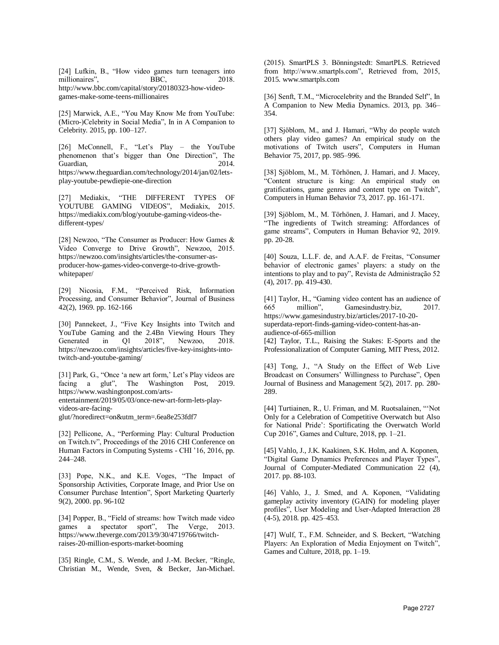[24] Lufkin, B., "How video games turn teenagers into millionaires", BBC, 2018. http://www.bbc.com/capital/story/20180323-how-videogames-make-some-teens-millionaires

[25] Marwick, A.E., "You May Know Me from YouTube: (Micro-)Celebrity in Social Media", In in A Companion to Celebrity. 2015, pp. 100–127.

[26] McConnell, F., "Let's Play – the YouTube phenomenon that's bigger than One Direction", The Guardian. 2014. https://www.theguardian.com/technology/2014/jan/02/letsplay-youtube-pewdiepie-one-direction

[27] Mediakix, "THE DIFFERENT TYPES OF YOUTUBE GAMING VIDEOS", Mediakix, 2015. https://mediakix.com/blog/youtube-gaming-videos-thedifferent-types/

[28] Newzoo, "The Consumer as Producer: How Games & Video Converge to Drive Growth", Newzoo, 2015. https://newzoo.com/insights/articles/the-consumer-asproducer-how-games-video-converge-to-drive-growthwhitepaper/

[29] Nicosia, F.M., "Perceived Risk, Information Processing, and Consumer Behavior", Journal of Business 42(2), 1969. pp. 162-166

[30] Pannekeet, J., "Five Key Insights into Twitch and YouTube Gaming and the 2.4Bn Viewing Hours They<br>Generated in Ol 2018", Newzoo. 2018. Generated in Q1 2018", Newzoo, https://newzoo.com/insights/articles/five-key-insights-intotwitch-and-youtube-gaming/

[31] Park, G., "Once 'a new art form,' Let's Play videos are facing a glut", The Washington Post, 2019. https://www.washingtonpost.com/artsentertainment/2019/05/03/once-new-art-form-lets-playvideos-are-facingglut/?noredirect=on&utm\_term=.6ea8e253fdf7

[32] Pellicone, A., "Performing Play: Cultural Production on Twitch.tv", Proceedings of the 2016 CHI Conference on Human Factors in Computing Systems - CHI '16, 2016, pp. 244–248.

[33] Pope, N.K., and K.E. Voges, "The Impact of Sponsorship Activities, Corporate Image, and Prior Use on Consumer Purchase Intention", Sport Marketing Quarterly 9(2), 2000. pp. 96-102

[34] Popper, B., "Field of streams: how Twitch made video games a spectator sport", The Verge, 2013. https://www.theverge.com/2013/9/30/4719766/twitchraises-20-million-esports-market-booming

[35] Ringle, C.M., S. Wende, and J.-M. Becker, "Ringle, Christian M., Wende, Sven, & Becker, Jan-Michael. (2015). SmartPLS 3. Bönningstedt: SmartPLS. Retrieved from http://www.smartpls.com", Retrieved from, 2015, 2015. www.smartpls.com

[36] Senft, T.M., "Microcelebrity and the Branded Self", In A Companion to New Media Dynamics. 2013, pp. 346– 354.

[37] Sjöblom, M., and J. Hamari, "Why do people watch others play video games? An empirical study on the motivations of Twitch users", Computers in Human Behavior 75, 2017, pp. 985–996.

[38] Sjöblom, M., M. Törhönen, J. Hamari, and J. Macey, "Content structure is king: An empirical study on gratifications, game genres and content type on Twitch", Computers in Human Behavior 73, 2017. pp. 161-171.

[39] Sjöblom, M., M. Törhönen, J. Hamari, and J. Macey, "The ingredients of Twitch streaming: Affordances of game streams", Computers in Human Behavior 92, 2019. pp. 20-28.

[40] Souza, L.L.F. de, and A.A.F. de Freitas, "Consumer behavior of electronic games' players: a study on the intentions to play and to pay", Revista de Administração 52 (4), 2017. pp. 419-430.

[41] Taylor, H., "Gaming video content has an audience of 665 million", Gamesindustry.biz, 2017. https://www.gamesindustry.biz/articles/2017-10-20 superdata-report-finds-gaming-video-content-has-anaudience-of-665-million

[42] Taylor, T.L., Raising the Stakes: E-Sports and the Professionalization of Computer Gaming, MIT Press, 2012.

[43] Tong, J., "A Study on the Effect of Web Live Broadcast on Consumers' Willingness to Purchase", Open Journal of Business and Management 5(2), 2017. pp. 280- 289.

[44] Turtiainen, R., U. Friman, and M. Ruotsalainen, "'Not Only for a Celebration of Competitive Overwatch but Also for National Pride': Sportificating the Overwatch World Cup 2016", Games and Culture, 2018, pp. 1–21.

[45] Vahlo, J., J.K. Kaakinen, S.K. Holm, and A. Koponen, "Digital Game Dynamics Preferences and Player Types", Journal of Computer-Mediated Communication 22 (4), 2017. pp. 88-103.

[46] Vahlo, J., J. Smed, and A. Koponen, "Validating gameplay activity inventory (GAIN) for modeling player profiles", User Modeling and User-Adapted Interaction 28 (4-5), 2018. pp. 425–453.

[47] Wulf, T., F.M. Schneider, and S. Beckert, "Watching Players: An Exploration of Media Enjoyment on Twitch", Games and Culture, 2018, pp. 1–19.